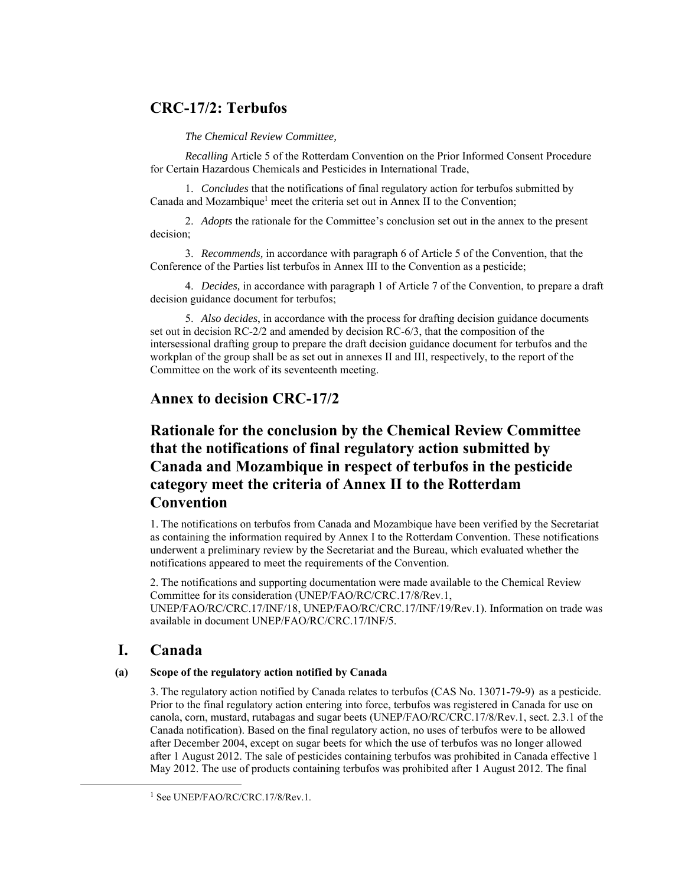## **CRC-17/2: Terbufos**

*The Chemical Review Committee,* 

*Recalling* Article 5 of the Rotterdam Convention on the Prior Informed Consent Procedure for Certain Hazardous Chemicals and Pesticides in International Trade,

1. *Concludes* that the notifications of final regulatory action for terbufos submitted by Canada and Mozambique<sup>1</sup> meet the criteria set out in Annex II to the Convention;

2. *Adopts* the rationale for the Committee's conclusion set out in the annex to the present decision;

3. *Recommends,* in accordance with paragraph 6 of Article 5 of the Convention, that the Conference of the Parties list terbufos in Annex III to the Convention as a pesticide;

4. *Decides,* in accordance with paragraph 1 of Article 7 of the Convention, to prepare a draft decision guidance document for terbufos;

5. *Also decides*, in accordance with the process for drafting decision guidance documents set out in decision RC-2/2 and amended by decision RC-6/3, that the composition of the intersessional drafting group to prepare the draft decision guidance document for terbufos and the workplan of the group shall be as set out in annexes II and III, respectively, to the report of the Committee on the work of its seventeenth meeting.

### **Annex to decision CRC-17/2**

# **Rationale for the conclusion by the Chemical Review Committee that the notifications of final regulatory action submitted by Canada and Mozambique in respect of terbufos in the pesticide category meet the criteria of Annex II to the Rotterdam Convention**

1. The notifications on terbufos from Canada and Mozambique have been verified by the Secretariat as containing the information required by Annex I to the Rotterdam Convention. These notifications underwent a preliminary review by the Secretariat and the Bureau, which evaluated whether the notifications appeared to meet the requirements of the Convention.

2. The notifications and supporting documentation were made available to the Chemical Review Committee for its consideration (UNEP/FAO/RC/CRC.17/8/Rev.1, UNEP/FAO/RC/CRC.17/INF/18, UNEP/FAO/RC/CRC.17/INF/19/Rev.1). Information on trade was available in document UNEP/FAO/RC/CRC.17/INF/5.

### **I. Canada**

#### **(a) Scope of the regulatory action notified by Canada**

3. The regulatory action notified by Canada relates to terbufos (CAS No. 13071-79-9) as a pesticide. Prior to the final regulatory action entering into force, terbufos was registered in Canada for use on canola, corn, mustard, rutabagas and sugar beets (UNEP/FAO/RC/CRC.17/8/Rev.1, sect. 2.3.1 of the Canada notification). Based on the final regulatory action, no uses of terbufos were to be allowed after December 2004, except on sugar beets for which the use of terbufos was no longer allowed after 1 August 2012. The sale of pesticides containing terbufos was prohibited in Canada effective 1 May 2012. The use of products containing terbufos was prohibited after 1 August 2012. The final

<sup>1</sup> See UNEP/FAO/RC/CRC.17/8/Rev.1.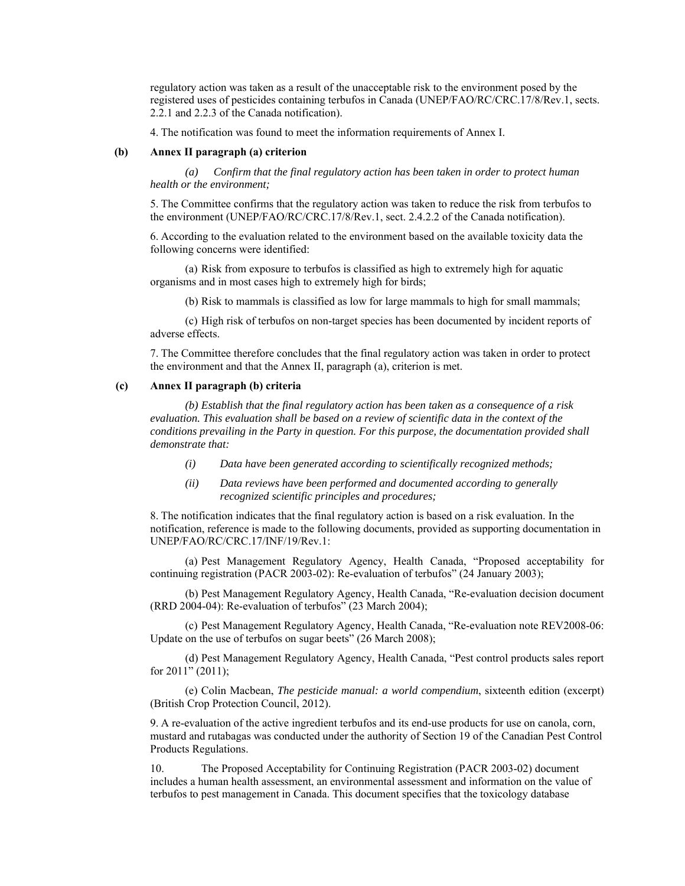regulatory action was taken as a result of the unacceptable risk to the environment posed by the registered uses of pesticides containing terbufos in Canada (UNEP/FAO/RC/CRC.17/8/Rev.1, sects. 2.2.1 and 2.2.3 of the Canada notification).

4. The notification was found to meet the information requirements of Annex I.

#### **(b) Annex II paragraph (a) criterion**

*(a) Confirm that the final regulatory action has been taken in order to protect human health or the environment;* 

5. The Committee confirms that the regulatory action was taken to reduce the risk from terbufos to the environment (UNEP/FAO/RC/CRC.17/8/Rev.1, sect. 2.4.2.2 of the Canada notification).

6. According to the evaluation related to the environment based on the available toxicity data the following concerns were identified:

(a) Risk from exposure to terbufos is classified as high to extremely high for aquatic organisms and in most cases high to extremely high for birds;

(b) Risk to mammals is classified as low for large mammals to high for small mammals;

(c) High risk of terbufos on non-target species has been documented by incident reports of adverse effects.

7. The Committee therefore concludes that the final regulatory action was taken in order to protect the environment and that the Annex II, paragraph (a), criterion is met.

#### **(c) Annex II paragraph (b) criteria**

*(b) Establish that the final regulatory action has been taken as a consequence of a risk evaluation. This evaluation shall be based on a review of scientific data in the context of the conditions prevailing in the Party in question. For this purpose, the documentation provided shall demonstrate that:* 

- *(i) Data have been generated according to scientifically recognized methods;*
- *(ii) Data reviews have been performed and documented according to generally recognized scientific principles and procedures;*

8. The notification indicates that the final regulatory action is based on a risk evaluation. In the notification, reference is made to the following documents, provided as supporting documentation in UNEP/FAO/RC/CRC.17/INF/19/Rev.1:

(a) Pest Management Regulatory Agency, Health Canada, "Proposed acceptability for continuing registration (PACR 2003-02): Re-evaluation of terbufos" (24 January 2003);

(b) Pest Management Regulatory Agency, Health Canada, "Re-evaluation decision document (RRD 2004-04): Re-evaluation of terbufos" (23 March 2004);

(c) Pest Management Regulatory Agency, Health Canada, "Re-evaluation note REV2008-06: Update on the use of terbufos on sugar beets" (26 March 2008);

(d) Pest Management Regulatory Agency, Health Canada, "Pest control products sales report for 2011" (2011);

(e) Colin Macbean, *The pesticide manual: a world compendium*, sixteenth edition (excerpt) (British Crop Protection Council, 2012).

9. A re-evaluation of the active ingredient terbufos and its end-use products for use on canola, corn, mustard and rutabagas was conducted under the authority of Section 19 of the Canadian Pest Control Products Regulations.

10. The Proposed Acceptability for Continuing Registration (PACR 2003-02) document includes a human health assessment, an environmental assessment and information on the value of terbufos to pest management in Canada. This document specifies that the toxicology database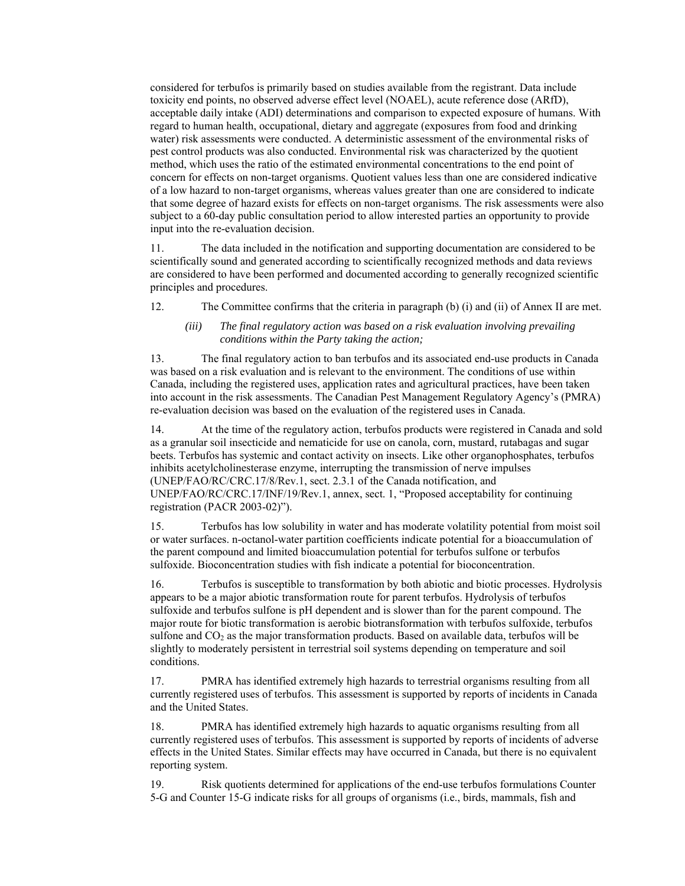considered for terbufos is primarily based on studies available from the registrant. Data include toxicity end points, no observed adverse effect level (NOAEL), acute reference dose (ARfD), acceptable daily intake (ADI) determinations and comparison to expected exposure of humans. With regard to human health, occupational, dietary and aggregate (exposures from food and drinking water) risk assessments were conducted. A deterministic assessment of the environmental risks of pest control products was also conducted. Environmental risk was characterized by the quotient method, which uses the ratio of the estimated environmental concentrations to the end point of concern for effects on non-target organisms. Quotient values less than one are considered indicative of a low hazard to non-target organisms, whereas values greater than one are considered to indicate that some degree of hazard exists for effects on non-target organisms. The risk assessments were also subject to a 60-day public consultation period to allow interested parties an opportunity to provide input into the re-evaluation decision.

11. The data included in the notification and supporting documentation are considered to be scientifically sound and generated according to scientifically recognized methods and data reviews are considered to have been performed and documented according to generally recognized scientific principles and procedures.

12. The Committee confirms that the criteria in paragraph (b) (i) and (ii) of Annex II are met.

#### *(iii) The final regulatory action was based on a risk evaluation involving prevailing conditions within the Party taking the action;*

13. The final regulatory action to ban terbufos and its associated end-use products in Canada was based on a risk evaluation and is relevant to the environment. The conditions of use within Canada, including the registered uses, application rates and agricultural practices, have been taken into account in the risk assessments. The Canadian Pest Management Regulatory Agency's (PMRA) re-evaluation decision was based on the evaluation of the registered uses in Canada.

14. At the time of the regulatory action, terbufos products were registered in Canada and sold as a granular soil insecticide and nematicide for use on canola, corn, mustard, rutabagas and sugar beets. Terbufos has systemic and contact activity on insects. Like other organophosphates, terbufos inhibits acetylcholinesterase enzyme, interrupting the transmission of nerve impulses (UNEP/FAO/RC/CRC.17/8/Rev.1, sect. 2.3.1 of the Canada notification, and UNEP/FAO/RC/CRC.17/INF/19/Rev.1, annex, sect. 1, "Proposed acceptability for continuing registration (PACR 2003-02)").

15. Terbufos has low solubility in water and has moderate volatility potential from moist soil or water surfaces. n-octanol-water partition coefficients indicate potential for a bioaccumulation of the parent compound and limited bioaccumulation potential for terbufos sulfone or terbufos sulfoxide. Bioconcentration studies with fish indicate a potential for bioconcentration.

16. Terbufos is susceptible to transformation by both abiotic and biotic processes. Hydrolysis appears to be a major abiotic transformation route for parent terbufos. Hydrolysis of terbufos sulfoxide and terbufos sulfone is pH dependent and is slower than for the parent compound. The major route for biotic transformation is aerobic biotransformation with terbufos sulfoxide, terbufos sulfone and  $CO<sub>2</sub>$  as the major transformation products. Based on available data, terbufos will be slightly to moderately persistent in terrestrial soil systems depending on temperature and soil conditions.

17. PMRA has identified extremely high hazards to terrestrial organisms resulting from all currently registered uses of terbufos. This assessment is supported by reports of incidents in Canada and the United States.

18. PMRA has identified extremely high hazards to aquatic organisms resulting from all currently registered uses of terbufos. This assessment is supported by reports of incidents of adverse effects in the United States. Similar effects may have occurred in Canada, but there is no equivalent reporting system.

19. Risk quotients determined for applications of the end-use terbufos formulations Counter 5-G and Counter 15-G indicate risks for all groups of organisms (i.e., birds, mammals, fish and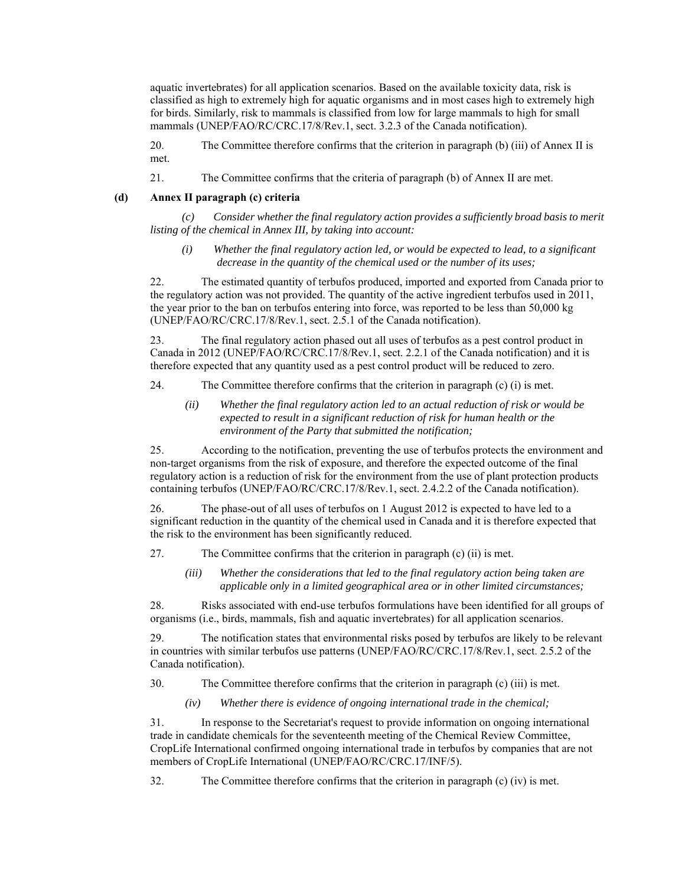aquatic invertebrates) for all application scenarios. Based on the available toxicity data, risk is classified as high to extremely high for aquatic organisms and in most cases high to extremely high for birds. Similarly, risk to mammals is classified from low for large mammals to high for small mammals (UNEP/FAO/RC/CRC.17/8/Rev.1, sect. 3.2.3 of the Canada notification).

20. The Committee therefore confirms that the criterion in paragraph (b) (iii) of Annex II is met.

21. The Committee confirms that the criteria of paragraph (b) of Annex II are met.

#### **(d) Annex II paragraph (c) criteria**

*(c) Consider whether the final regulatory action provides a sufficiently broad basis to merit listing of the chemical in Annex III, by taking into account:* 

*(i) Whether the final regulatory action led, or would be expected to lead, to a significant decrease in the quantity of the chemical used or the number of its uses;* 

22. The estimated quantity of terbufos produced, imported and exported from Canada prior to the regulatory action was not provided. The quantity of the active ingredient terbufos used in 2011, the year prior to the ban on terbufos entering into force, was reported to be less than 50,000 kg (UNEP/FAO/RC/CRC.17/8/Rev.1, sect. 2.5.1 of the Canada notification).

23. The final regulatory action phased out all uses of terbufos as a pest control product in Canada in 2012 (UNEP/FAO/RC/CRC.17/8/Rev.1, sect. 2.2.1 of the Canada notification) and it is therefore expected that any quantity used as a pest control product will be reduced to zero.

- 24. The Committee therefore confirms that the criterion in paragraph (c) (i) is met.
	- *(ii) Whether the final regulatory action led to an actual reduction of risk or would be expected to result in a significant reduction of risk for human health or the environment of the Party that submitted the notification;*

25. According to the notification, preventing the use of terbufos protects the environment and non-target organisms from the risk of exposure, and therefore the expected outcome of the final regulatory action is a reduction of risk for the environment from the use of plant protection products containing terbufos (UNEP/FAO/RC/CRC.17/8/Rev.1, sect. 2.4.2.2 of the Canada notification).

26. The phase-out of all uses of terbufos on 1 August 2012 is expected to have led to a significant reduction in the quantity of the chemical used in Canada and it is therefore expected that the risk to the environment has been significantly reduced.

- 27. The Committee confirms that the criterion in paragraph (c) (ii) is met.
	- *(iii) Whether the considerations that led to the final regulatory action being taken are applicable only in a limited geographical area or in other limited circumstances;*

28. Risks associated with end-use terbufos formulations have been identified for all groups of organisms (i.e., birds, mammals, fish and aquatic invertebrates) for all application scenarios.

29. The notification states that environmental risks posed by terbufos are likely to be relevant in countries with similar terbufos use patterns (UNEP/FAO/RC/CRC.17/8/Rev.1, sect. 2.5.2 of the Canada notification).

30. The Committee therefore confirms that the criterion in paragraph (c) (iii) is met.

*(iv) Whether there is evidence of ongoing international trade in the chemical;* 

31. In response to the Secretariat's request to provide information on ongoing international trade in candidate chemicals for the seventeenth meeting of the Chemical Review Committee, CropLife International confirmed ongoing international trade in terbufos by companies that are not members of CropLife International (UNEP/FAO/RC/CRC.17/INF/5).

32. The Committee therefore confirms that the criterion in paragraph (c) (iv) is met.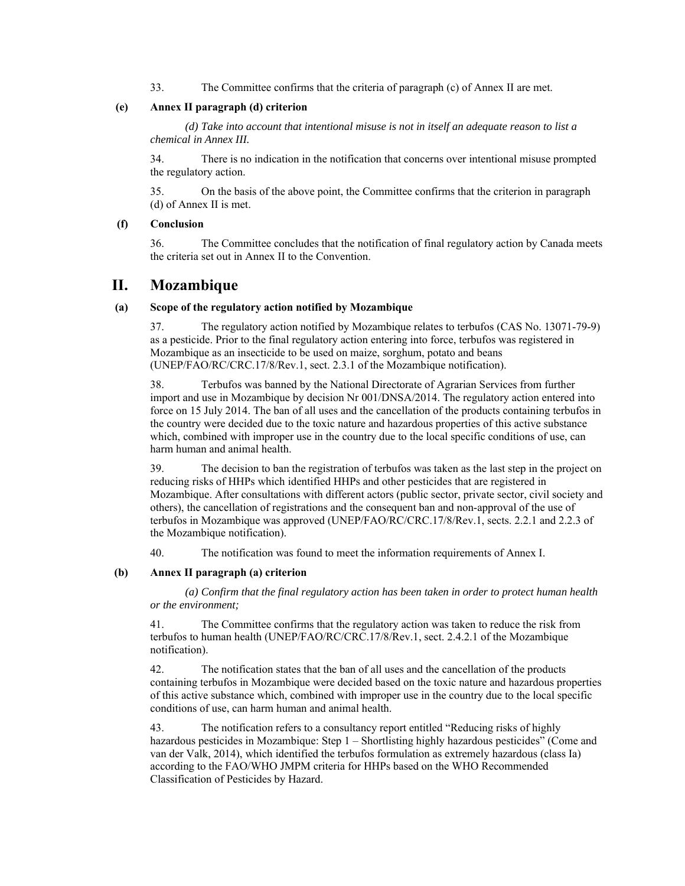33. The Committee confirms that the criteria of paragraph (c) of Annex II are met.

#### **(e) Annex II paragraph (d) criterion**

*(d) Take into account that intentional misuse is not in itself an adequate reason to list a chemical in Annex III.* 

34. There is no indication in the notification that concerns over intentional misuse prompted the regulatory action.

35. On the basis of the above point, the Committee confirms that the criterion in paragraph (d) of Annex II is met.

#### **(f) Conclusion**

36. The Committee concludes that the notification of final regulatory action by Canada meets the criteria set out in Annex II to the Convention.

### **II. Mozambique**

#### **(a) Scope of the regulatory action notified by Mozambique**

37. The regulatory action notified by Mozambique relates to terbufos (CAS No. 13071-79-9) as a pesticide. Prior to the final regulatory action entering into force, terbufos was registered in Mozambique as an insecticide to be used on maize, sorghum, potato and beans (UNEP/FAO/RC/CRC.17/8/Rev.1, sect. 2.3.1 of the Mozambique notification).

38. Terbufos was banned by the National Directorate of Agrarian Services from further import and use in Mozambique by decision Nr 001/DNSA/2014. The regulatory action entered into force on 15 July 2014. The ban of all uses and the cancellation of the products containing terbufos in the country were decided due to the toxic nature and hazardous properties of this active substance which, combined with improper use in the country due to the local specific conditions of use, can harm human and animal health.

39. The decision to ban the registration of terbufos was taken as the last step in the project on reducing risks of HHPs which identified HHPs and other pesticides that are registered in Mozambique. After consultations with different actors (public sector, private sector, civil society and others), the cancellation of registrations and the consequent ban and non-approval of the use of terbufos in Mozambique was approved (UNEP/FAO/RC/CRC.17/8/Rev.1, sects. 2.2.1 and 2.2.3 of the Mozambique notification).

40. The notification was found to meet the information requirements of Annex I.

#### **(b) Annex II paragraph (a) criterion**

*(a) Confirm that the final regulatory action has been taken in order to protect human health or the environment;* 

41. The Committee confirms that the regulatory action was taken to reduce the risk from terbufos to human health (UNEP/FAO/RC/CRC.17/8/Rev.1, sect. 2.4.2.1 of the Mozambique notification).

42. The notification states that the ban of all uses and the cancellation of the products containing terbufos in Mozambique were decided based on the toxic nature and hazardous properties of this active substance which, combined with improper use in the country due to the local specific conditions of use, can harm human and animal health.

43. The notification refers to a consultancy report entitled "Reducing risks of highly hazardous pesticides in Mozambique: Step 1 – Shortlisting highly hazardous pesticides" (Come and van der Valk, 2014), which identified the terbufos formulation as extremely hazardous (class Ia) according to the FAO/WHO JMPM criteria for HHPs based on the WHO Recommended Classification of Pesticides by Hazard.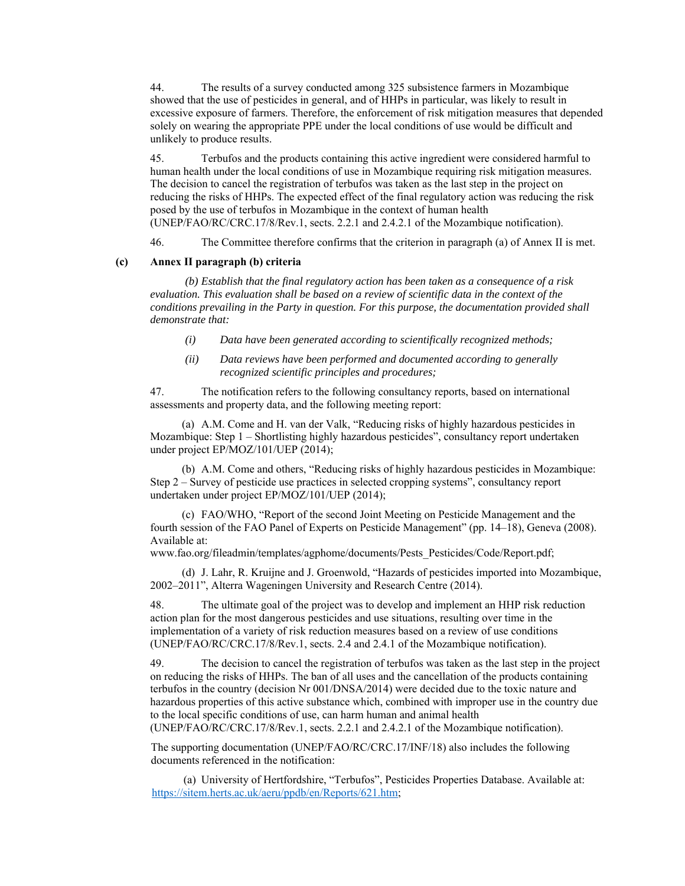44. The results of a survey conducted among 325 subsistence farmers in Mozambique showed that the use of pesticides in general, and of HHPs in particular, was likely to result in excessive exposure of farmers. Therefore, the enforcement of risk mitigation measures that depended solely on wearing the appropriate PPE under the local conditions of use would be difficult and unlikely to produce results.

45. Terbufos and the products containing this active ingredient were considered harmful to human health under the local conditions of use in Mozambique requiring risk mitigation measures. The decision to cancel the registration of terbufos was taken as the last step in the project on reducing the risks of HHPs. The expected effect of the final regulatory action was reducing the risk posed by the use of terbufos in Mozambique in the context of human health (UNEP/FAO/RC/CRC.17/8/Rev.1, sects. 2.2.1 and 2.4.2.1 of the Mozambique notification).

46. The Committee therefore confirms that the criterion in paragraph (a) of Annex II is met.

#### **(c) Annex II paragraph (b) criteria**

*(b) Establish that the final regulatory action has been taken as a consequence of a risk evaluation. This evaluation shall be based on a review of scientific data in the context of the conditions prevailing in the Party in question. For this purpose, the documentation provided shall demonstrate that:* 

- *(i) Data have been generated according to scientifically recognized methods;*
- *(ii) Data reviews have been performed and documented according to generally recognized scientific principles and procedures;*

47. The notification refers to the following consultancy reports, based on international assessments and property data, and the following meeting report:

(a) A.M. Come and H. van der Valk, "Reducing risks of highly hazardous pesticides in Mozambique: Step 1 – Shortlisting highly hazardous pesticides", consultancy report undertaken under project EP/MOZ/101/UEP (2014);

(b) A.M. Come and others, "Reducing risks of highly hazardous pesticides in Mozambique: Step 2 – Survey of pesticide use practices in selected cropping systems", consultancy report undertaken under project EP/MOZ/101/UEP (2014);

(c) FAO/WHO, "Report of the second Joint Meeting on Pesticide Management and the fourth session of the FAO Panel of Experts on Pesticide Management" (pp. 14–18), Geneva (2008). Available at:

www.fao.org/fileadmin/templates/agphome/documents/Pests\_Pesticides/Code/Report.pdf;

(d) J. Lahr, R. Kruijne and J. Groenwold, "Hazards of pesticides imported into Mozambique, 2002–2011", Alterra Wageningen University and Research Centre (2014).

48. The ultimate goal of the project was to develop and implement an HHP risk reduction action plan for the most dangerous pesticides and use situations, resulting over time in the implementation of a variety of risk reduction measures based on a review of use conditions (UNEP/FAO/RC/CRC.17/8/Rev.1, sects. 2.4 and 2.4.1 of the Mozambique notification).

49. The decision to cancel the registration of terbufos was taken as the last step in the project on reducing the risks of HHPs. The ban of all uses and the cancellation of the products containing terbufos in the country (decision Nr 001/DNSA/2014) were decided due to the toxic nature and hazardous properties of this active substance which, combined with improper use in the country due to the local specific conditions of use, can harm human and animal health

(UNEP/FAO/RC/CRC.17/8/Rev.1, sects. 2.2.1 and 2.4.2.1 of the Mozambique notification).

The supporting documentation (UNEP/FAO/RC/CRC.17/INF/18) also includes the following documents referenced in the notification:

(a) University of Hertfordshire, "Terbufos", Pesticides Properties Database. Available at: https://sitem.herts.ac.uk/aeru/ppdb/en/Reports/621.htm;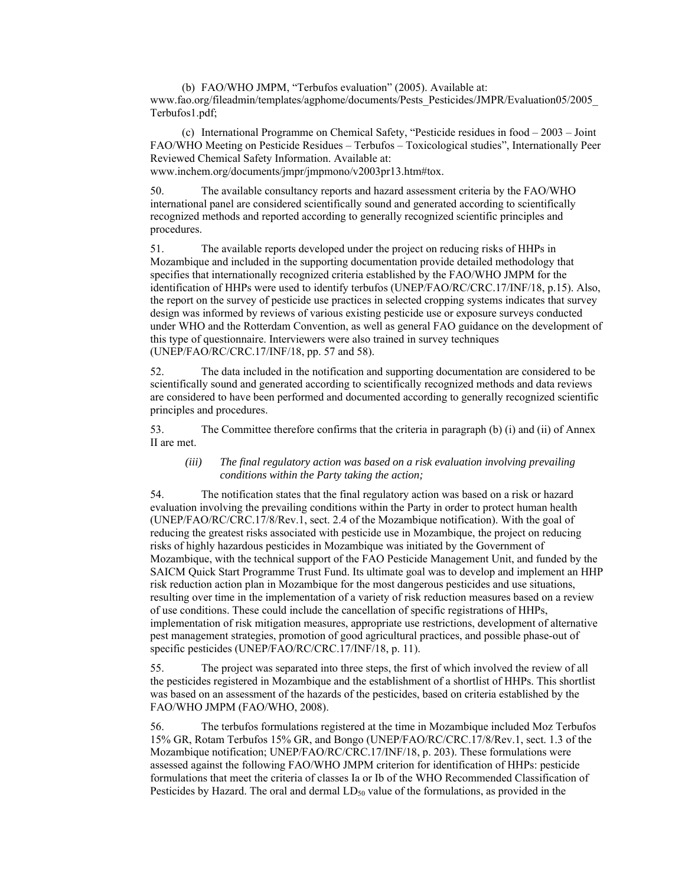(b) FAO/WHO JMPM, "Terbufos evaluation" (2005). Available at: www.fao.org/fileadmin/templates/agphome/documents/Pests\_Pesticides/JMPR/Evaluation05/2005\_ Terbufos1.pdf;

(c) International Programme on Chemical Safety, "Pesticide residues in food – 2003 – Joint FAO/WHO Meeting on Pesticide Residues – Terbufos – Toxicological studies", Internationally Peer Reviewed Chemical Safety Information. Available at: www.inchem.org/documents/jmpr/jmpmono/v2003pr13.htm#tox.

50. The available consultancy reports and hazard assessment criteria by the FAO/WHO international panel are considered scientifically sound and generated according to scientifically recognized methods and reported according to generally recognized scientific principles and procedures.

51. The available reports developed under the project on reducing risks of HHPs in Mozambique and included in the supporting documentation provide detailed methodology that specifies that internationally recognized criteria established by the FAO/WHO JMPM for the identification of HHPs were used to identify terbufos (UNEP/FAO/RC/CRC.17/INF/18, p.15). Also, the report on the survey of pesticide use practices in selected cropping systems indicates that survey design was informed by reviews of various existing pesticide use or exposure surveys conducted under WHO and the Rotterdam Convention, as well as general FAO guidance on the development of this type of questionnaire. Interviewers were also trained in survey techniques (UNEP/FAO/RC/CRC.17/INF/18, pp. 57 and 58).

52. The data included in the notification and supporting documentation are considered to be scientifically sound and generated according to scientifically recognized methods and data reviews are considered to have been performed and documented according to generally recognized scientific principles and procedures.

53. The Committee therefore confirms that the criteria in paragraph (b) (i) and (ii) of Annex II are met.

#### *(iii) The final regulatory action was based on a risk evaluation involving prevailing conditions within the Party taking the action;*

54. The notification states that the final regulatory action was based on a risk or hazard evaluation involving the prevailing conditions within the Party in order to protect human health (UNEP/FAO/RC/CRC.17/8/Rev.1, sect. 2.4 of the Mozambique notification). With the goal of reducing the greatest risks associated with pesticide use in Mozambique, the project on reducing risks of highly hazardous pesticides in Mozambique was initiated by the Government of Mozambique, with the technical support of the FAO Pesticide Management Unit, and funded by the SAICM Quick Start Programme Trust Fund. Its ultimate goal was to develop and implement an HHP risk reduction action plan in Mozambique for the most dangerous pesticides and use situations, resulting over time in the implementation of a variety of risk reduction measures based on a review of use conditions. These could include the cancellation of specific registrations of HHPs, implementation of risk mitigation measures, appropriate use restrictions, development of alternative pest management strategies, promotion of good agricultural practices, and possible phase-out of specific pesticides (UNEP/FAO/RC/CRC.17/INF/18, p. 11).

55. The project was separated into three steps, the first of which involved the review of all the pesticides registered in Mozambique and the establishment of a shortlist of HHPs. This shortlist was based on an assessment of the hazards of the pesticides, based on criteria established by the FAO/WHO JMPM (FAO/WHO, 2008).

56. The terbufos formulations registered at the time in Mozambique included Moz Terbufos 15% GR, Rotam Terbufos 15% GR, and Bongo (UNEP/FAO/RC/CRC.17/8/Rev.1, sect. 1.3 of the Mozambique notification; UNEP/FAO/RC/CRC.17/INF/18, p. 203). These formulations were assessed against the following FAO/WHO JMPM criterion for identification of HHPs: pesticide formulations that meet the criteria of classes Ia or Ib of the WHO Recommended Classification of Pesticides by Hazard. The oral and dermal  $LD_{50}$  value of the formulations, as provided in the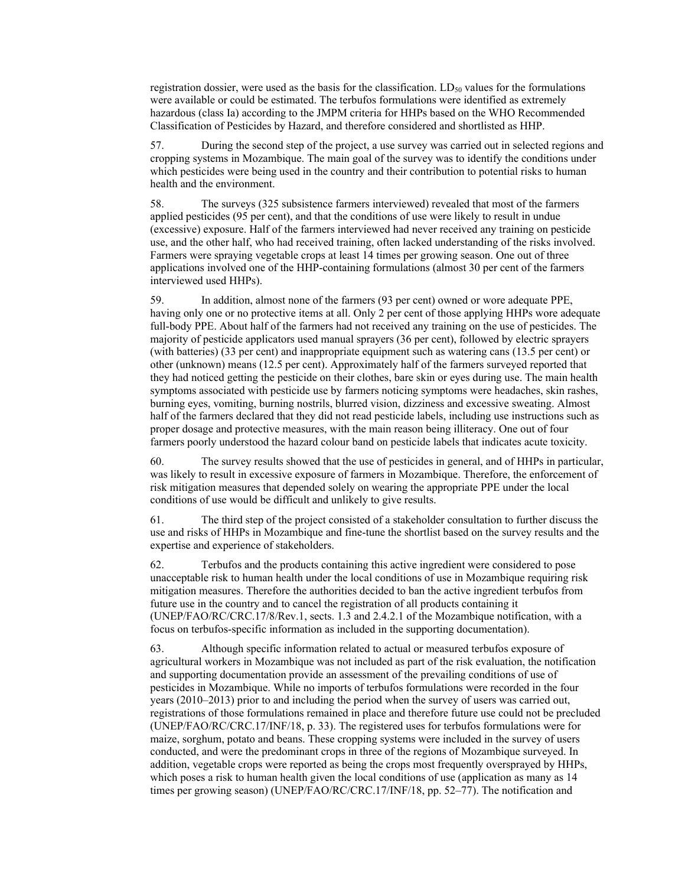registration dossier, were used as the basis for the classification.  $LD_{50}$  values for the formulations were available or could be estimated. The terbufos formulations were identified as extremely hazardous (class Ia) according to the JMPM criteria for HHPs based on the WHO Recommended Classification of Pesticides by Hazard, and therefore considered and shortlisted as HHP.

57. During the second step of the project, a use survey was carried out in selected regions and cropping systems in Mozambique. The main goal of the survey was to identify the conditions under which pesticides were being used in the country and their contribution to potential risks to human health and the environment.

58. The surveys (325 subsistence farmers interviewed) revealed that most of the farmers applied pesticides (95 per cent), and that the conditions of use were likely to result in undue (excessive) exposure. Half of the farmers interviewed had never received any training on pesticide use, and the other half, who had received training, often lacked understanding of the risks involved. Farmers were spraying vegetable crops at least 14 times per growing season. One out of three applications involved one of the HHP-containing formulations (almost 30 per cent of the farmers interviewed used HHPs).

59. In addition, almost none of the farmers (93 per cent) owned or wore adequate PPE, having only one or no protective items at all. Only 2 per cent of those applying HHPs wore adequate full-body PPE. About half of the farmers had not received any training on the use of pesticides. The majority of pesticide applicators used manual sprayers (36 per cent), followed by electric sprayers (with batteries) (33 per cent) and inappropriate equipment such as watering cans (13.5 per cent) or other (unknown) means (12.5 per cent). Approximately half of the farmers surveyed reported that they had noticed getting the pesticide on their clothes, bare skin or eyes during use. The main health symptoms associated with pesticide use by farmers noticing symptoms were headaches, skin rashes, burning eyes, vomiting, burning nostrils, blurred vision, dizziness and excessive sweating. Almost half of the farmers declared that they did not read pesticide labels, including use instructions such as proper dosage and protective measures, with the main reason being illiteracy. One out of four farmers poorly understood the hazard colour band on pesticide labels that indicates acute toxicity.

60. The survey results showed that the use of pesticides in general, and of HHPs in particular, was likely to result in excessive exposure of farmers in Mozambique. Therefore, the enforcement of risk mitigation measures that depended solely on wearing the appropriate PPE under the local conditions of use would be difficult and unlikely to give results.

61. The third step of the project consisted of a stakeholder consultation to further discuss the use and risks of HHPs in Mozambique and fine-tune the shortlist based on the survey results and the expertise and experience of stakeholders.

62. Terbufos and the products containing this active ingredient were considered to pose unacceptable risk to human health under the local conditions of use in Mozambique requiring risk mitigation measures. Therefore the authorities decided to ban the active ingredient terbufos from future use in the country and to cancel the registration of all products containing it (UNEP/FAO/RC/CRC.17/8/Rev.1, sects. 1.3 and 2.4.2.1 of the Mozambique notification, with a focus on terbufos-specific information as included in the supporting documentation).

63. Although specific information related to actual or measured terbufos exposure of agricultural workers in Mozambique was not included as part of the risk evaluation, the notification and supporting documentation provide an assessment of the prevailing conditions of use of pesticides in Mozambique. While no imports of terbufos formulations were recorded in the four years (2010–2013) prior to and including the period when the survey of users was carried out, registrations of those formulations remained in place and therefore future use could not be precluded (UNEP/FAO/RC/CRC.17/INF/18, p. 33). The registered uses for terbufos formulations were for maize, sorghum, potato and beans. These cropping systems were included in the survey of users conducted, and were the predominant crops in three of the regions of Mozambique surveyed. In addition, vegetable crops were reported as being the crops most frequently oversprayed by HHPs, which poses a risk to human health given the local conditions of use (application as many as 14 times per growing season) (UNEP/FAO/RC/CRC.17/INF/18, pp. 52–77). The notification and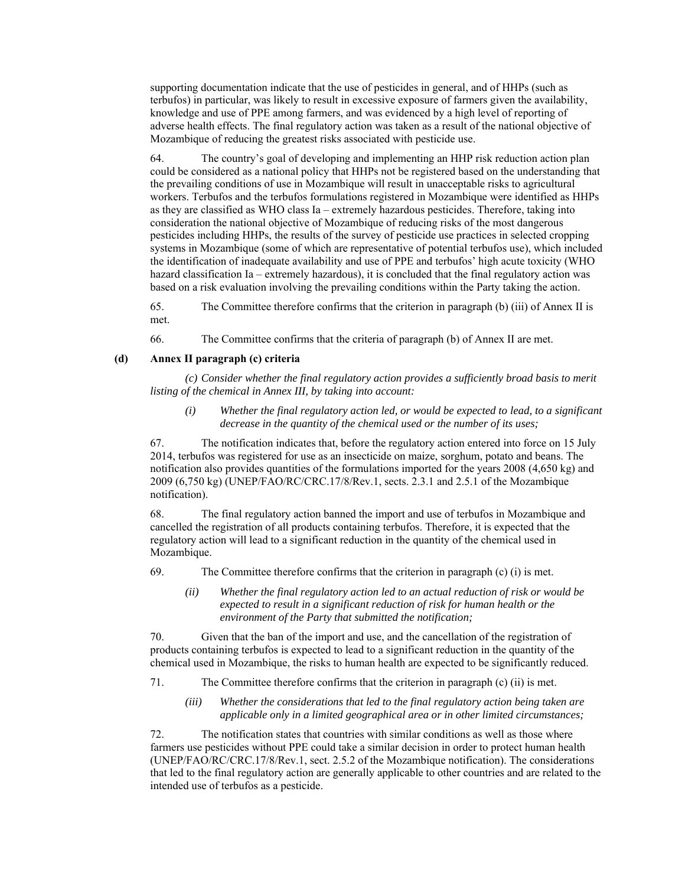supporting documentation indicate that the use of pesticides in general, and of HHPs (such as terbufos) in particular, was likely to result in excessive exposure of farmers given the availability, knowledge and use of PPE among farmers, and was evidenced by a high level of reporting of adverse health effects. The final regulatory action was taken as a result of the national objective of Mozambique of reducing the greatest risks associated with pesticide use.

64. The country's goal of developing and implementing an HHP risk reduction action plan could be considered as a national policy that HHPs not be registered based on the understanding that the prevailing conditions of use in Mozambique will result in unacceptable risks to agricultural workers. Terbufos and the terbufos formulations registered in Mozambique were identified as HHPs as they are classified as WHO class Ia – extremely hazardous pesticides. Therefore, taking into consideration the national objective of Mozambique of reducing risks of the most dangerous pesticides including HHPs, the results of the survey of pesticide use practices in selected cropping systems in Mozambique (some of which are representative of potential terbufos use), which included the identification of inadequate availability and use of PPE and terbufos' high acute toxicity (WHO hazard classification Ia – extremely hazardous), it is concluded that the final regulatory action was based on a risk evaluation involving the prevailing conditions within the Party taking the action.

65. The Committee therefore confirms that the criterion in paragraph (b) (iii) of Annex II is met.

66. The Committee confirms that the criteria of paragraph (b) of Annex II are met.

#### **(d) Annex II paragraph (c) criteria**

*(c) Consider whether the final regulatory action provides a sufficiently broad basis to merit listing of the chemical in Annex III, by taking into account:* 

*(i) Whether the final regulatory action led, or would be expected to lead, to a significant decrease in the quantity of the chemical used or the number of its uses;* 

67. The notification indicates that, before the regulatory action entered into force on 15 July 2014, terbufos was registered for use as an insecticide on maize, sorghum, potato and beans. The notification also provides quantities of the formulations imported for the years 2008 (4,650 kg) and 2009 (6,750 kg) (UNEP/FAO/RC/CRC.17/8/Rev.1, sects. 2.3.1 and 2.5.1 of the Mozambique notification).

68. The final regulatory action banned the import and use of terbufos in Mozambique and cancelled the registration of all products containing terbufos. Therefore, it is expected that the regulatory action will lead to a significant reduction in the quantity of the chemical used in Mozambique.

- 69. The Committee therefore confirms that the criterion in paragraph (c) (i) is met.
	- *(ii) Whether the final regulatory action led to an actual reduction of risk or would be expected to result in a significant reduction of risk for human health or the environment of the Party that submitted the notification;*

70. Given that the ban of the import and use, and the cancellation of the registration of products containing terbufos is expected to lead to a significant reduction in the quantity of the chemical used in Mozambique, the risks to human health are expected to be significantly reduced.

- 71. The Committee therefore confirms that the criterion in paragraph (c) (ii) is met.
	- *(iii) Whether the considerations that led to the final regulatory action being taken are applicable only in a limited geographical area or in other limited circumstances;*

72. The notification states that countries with similar conditions as well as those where farmers use pesticides without PPE could take a similar decision in order to protect human health (UNEP/FAO/RC/CRC.17/8/Rev.1, sect. 2.5.2 of the Mozambique notification). The considerations that led to the final regulatory action are generally applicable to other countries and are related to the intended use of terbufos as a pesticide.